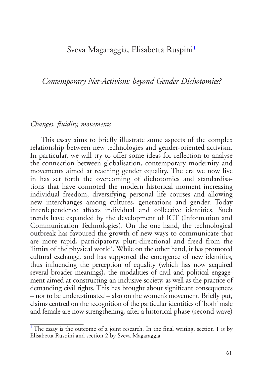## <span id="page-0-1"></span>Sveva Magaraggia, Elisabetta Ruspini<sup>[1](#page-0-0)</sup>

*Contemporary Net-Activism: beyond Gender Dichotomies?*

## *Changes, fluidity, movements*

This essay aims to briefly illustrate some aspects of the complex relationship between new technologies and gender-oriented activism. In particular, we will try to offer some ideas for reflection to analyse the connection between globalisation, contemporary modernity and movements aimed at reaching gender equality. The era we now live in has set forth the overcoming of dichotomies and standardisations that have connoted the modern historical moment increasing individual freedom, diversifying personal life courses and allowing new interchanges among cultures, generations and gender. Today interdependence affects individual and collective identities. Such trends have expanded by the development of ICT (Information and Communication Technologies). On the one hand, the technological outbreak has favoured the growth of new ways to communicate that are more rapid, participatory, pluri-directional and freed from the 'limits of the physical world'. While on the other hand, it has promoted cultural exchange, and has supported the emergence of new identities, thus influencing the perception of equality (which has now acquired several broader meanings), the modalities of civil and political engagement aimed at constructing an inclusive society, as well as the practice of demanding civil rights. This has brought about significant consequences – not to be underestimated – also on the women's movement. Briefly put, claims centred on the recognition of the particular identities of 'both' male and female are now strengthening, after a historical phase (second wave)

<span id="page-0-0"></span> $<sup>1</sup>$  $<sup>1</sup>$  $<sup>1</sup>$  The essay is the outcome of a joint research. In the final writing, section 1 is by</sup> Elisabetta Ruspini and section 2 by Sveva Magaraggia.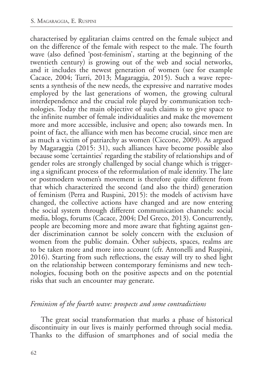characterised by egalitarian claims centred on the female subject and on the difference of the female with respect to the male. The fourth wave (also defined 'post-feminism', starting at the beginning of the twentieth century) is growing out of the web and social networks, and it includes the newest generation of women (see for example Cacace, 2004; Turri, 2013; Magaraggia, 2015). Such a wave represents a synthesis of the new needs, the expressive and narrative modes employed by the last generations of women, the growing cultural interdependence and the crucial role played by communication technologies. Today the main objective of such claims is to give space to the infinite number of female individualities and make the movement more and more accessible, inclusive and open; also towards men. In point of fact, the alliance with men has become crucial, since men are as much a victim of patriarchy as women (Ciccone, 2009). As argued by Magaraggia (2015: 31), such alliances have become possible also because some 'certainties' regarding the stability of relationships and of gender roles are strongly challenged by social change which is triggering a significant process of the reformulation of male identity. The late or postmodern women's movement is therefore quite different from that which characterized the second (and also the third) generation of feminism (Perra and Ruspini, 2015): the models of activism have changed, the collective actions have changed and are now entering the social system through different communication channels: social media, blogs, forums (Cacace, 2004; Del Greco, 2013). Concurrently, people are becoming more and more aware that fighting against gender discrimination cannot be solely concern with the exclusion of women from the public domain. Other subjects, spaces, realms are to be taken more and more into account (cfr. Antonelli and Ruspini, 2016). Starting from such reflections, the essay will try to shed light on the relationship between contemporary feminisms and new technologies, focusing both on the positive aspects and on the potential risks that such an encounter may generate.

## *Feminism of the fourth wave: prospects and some contradictions*

The great social transformation that marks a phase of historical discontinuity in our lives is mainly performed through social media. Thanks to the diffusion of smartphones and of social media the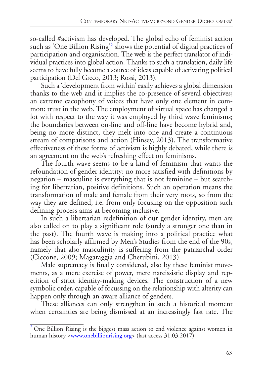<span id="page-2-1"></span>so-called #activism has developed. The global echo of feminist action such as 'One Billion Rising'[2](#page-2-0) shows the potential of digital practices of participation and organisation. The web is the perfect translator of individual practices into global action. Thanks to such a translation, daily life seems to have fully become a source of ideas capable of activating political participation (Del Greco, 2013; Rossi, 2013).

Such a 'development from within'easily achieves a global dimension thanks to the web and it implies the co-presence of several objectives; an extreme cacophony of voices that have only one element in common: trust in the web. The employment of virtual space has changed a lot with respect to the way it was employed by third wave feminisms; the boundaries between on-line and off-line have become hybrid and, being no more distinct, they melt into one and create a continuous stream of comparisons and action (Hinsey, 2013). The transformative effectiveness of these forms of activism is highly debated, while there is an agreement on the web's refreshing effect on feminisms.

The fourth wave seems to be a kind of feminism that wants the refoundation of gender identity: no more satisfied with definitions by negation – masculine is everything that is not feminine – but searching for libertarian, positive definitions. Such an operation means the transformation of male and female from their very roots, so from the way they are defined, i.e. from only focusing on the opposition such defining process aims at becoming inclusive.

In such a libertarian redefinition of our gender identity, men are also called on to play a significant role (surely a stronger one than in the past). The fourth wave is making into a political practice what has been scholarly affirmed by Men's Studies from the end of the 90s, namely that also masculinity is suffering from the patriarchal order (Ciccone, 2009; Magaraggia and Cherubini, 2013).

Male supremacy is finally considered, also by these feminist movements, as a mere exercise of power, mere narcissistic display and repetition of strict identity-making devices. The construction of a new symbolic order, capable of focussing on the relationship with alterity can happen only through an aware alliance of genders.

These alliances can only strengthen in such a historical moment when certainties are being dismissed at an increasingly fast rate. The

<span id="page-2-0"></span> $2$  One Billion Rising is the biggest mass action to end violence against women in human history <[www.onebillionrising.org](http://www.onebillionrising.org/)> (last access 31.03.2017).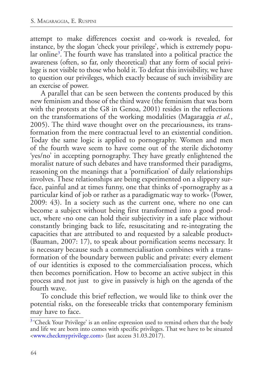<span id="page-3-1"></span>attempt to make differences coexist and co-work is revealed, for instance, by the slogan 'check your privilege', which is extremely popular online[3](#page-3-0) . The fourth wave has translated into a political practice the awareness (often, so far, only theoretical) that any form of social privilege is not visible to those who hold it. To defeat this invisibility, we have to question our privileges, which exactly because of such invisibility are an exercise of power.

A parallel that can be seen between the contents produced by this new feminism and those of the third wave (the feminism that was born with the protests at the G8 in Genoa, 2001) resides in the reflections on the transformations of the working modalities (Magaraggia *et al.*, 2005). The third wave thought over on the precariousness, its transformation from the mere contractual level to an existential condition. Today the same logic is applied to pornography. Women and men of the fourth wave seem to have come out of the sterile dichotomy 'yes/no' in accepting pornography. They have greatly enlightened the moralist nature of such debates and have transformed their paradigms, reasoning on the meanings that a 'pornification' of daily relationships involves. These relationships are being experimented on a slippery surface, painful and at times funny, one that thinks of «pornography as a particular kind of job or rather as a paradigmatic way to work» (Power, 2009: 43). In a society such as the current one, where no one can become a subject without being first transformed into a good product, where «no one can hold their subjectivity in a safe place without constantly bringing back to life, resuscitating and re-integrating the capacities that are attributed to and requested by a saleable product» (Bauman, 2007: 17), to speak about pornification seems necessary. It is necessary because such a commercialisation combines with a transformation of the boundary between public and private: every element of our identities is exposed to the commercialisation process, which then becomes pornification. How to become an active subject in this process and not just to give in passively is high on the agenda of the fourth wave.

To conclude this brief reflection, we would like to think over the potential risks, on the foreseeable tricks that contemporary feminism may have to face.

<span id="page-3-0"></span><sup>&</sup>lt;sup>[3](#page-3-1)</sup> 'Check Your Privilege' is an online expression used to remind others that the body and life we are born into comes with specific privileges. That we have to be situated [<www.checkmyprivilege.com>](http://www.checkmyprivilege.com) (last access 31.03.2017).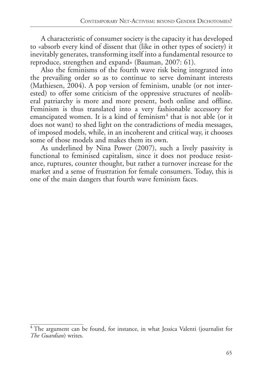A characteristic of consumer society is the capacity it has developed to «absorb every kind of dissent that (like in other types of society) it inevitably generates, transforming itself into a fundamental resource to reproduce, strengthen and expand» (Bauman, 2007: 61).

Also the feminisms of the fourth wave risk being integrated into the prevailing order so as to continue to serve dominant interests (Mathiesen, 2004). A pop version of feminism, unable (or not interested) to offer some criticism of the oppressive structures of neoliberal patriarchy is more and more present, both online and offline. Feminism is thus translated into a very fashionable accessory for emancipated women. It is a kind of feminism<sup>[4](#page-4-0)</sup> that is not able (or it does not want) to shed light on the contradictions of media messages, of imposed models, while, in an incoherent and critical way, it chooses some of those models and makes them its own.

<span id="page-4-1"></span>As underlined by Nina Power (2007), such a lively passivity is functional to feminised capitalism, since it does not produce resistance, ruptures, counter thought, but rather a turnover increase for the market and a sense of frustration for female consumers. Today, this is one of the main dangers that fourth wave feminism faces.

<span id="page-4-0"></span> $4$  The argument can be found, for instance, in what Jessica Valenti (journalist for *The Guardian*) writes.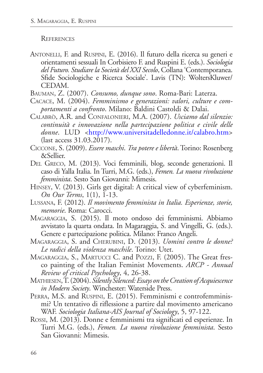## **REFERENCES**

Antonelli, F. and Ruspini, E. (2016). Il futuro della ricerca su generi e orientamenti sessuali In Corbisiero F. and Ruspini E. (eds.). *Sociologia del Futuro. Studiare la Società del XXI Secolo*, Collana 'Contemporanea. Sfide Sociologiche e Ricerca Sociale'. Lavis (TN): WoltersKluwer/ CEDAM.

Bauman, Z. (2007). *Consumo, dunque sono*. Roma-Bari: Laterza.

- Cacace, M. (2004). *Femminismo e generazioni: valori, culture e comportamenti a confronto*. Milano: Baldini Castoldi & Dalai.
- Calabrò, A.R. and Confalonieri, M.A. (2007). *Usciamo dal silenzio: continuità e innovazione nella partecipazione politica e civile delle*  donne. LUD [<http://www.universitadelledonne.it/calabro.htm](http://www.universitadelledonne.it/calabro.htm)> (last access 31.03.2017).
- Ciccone, S. (2009). *Essere maschi*. *Tra potere e libertà*. Torino: Rosenberg &Sellier.
- Del Greco, M. (2013). Voci femminili, blog, seconde generazioni. Il caso di Yalla Italia. In Turri, M.G. (eds.), *Femen. La nuova rivoluzione femminista*. Sesto San Giovanni: Mimesis.
- Hinsey, V. (2013). Girls get digital: A critical view of cyberfeminism. *On Our Terms*, 1(1), 1-13.
- Lussana, F. (2012). *Il movimento femminista in Italia. Esperienze, storie, memorie*. Roma: Carocci.
- Magaraggia, S. (2015). Il moto ondoso dei femminismi. Abbiamo avvistato la quarta ondata. In Magaraggia, S. and Vingelli, G. (eds.). Genere e partecipazione politica. Milano: Franco Angeli.
- Magaraggia, S. and Cherubini, D. (2013). *Uomini contro le donne? Le radici della violenza maschile*. Torino: Utet.
- Magaraggia, S., Martucci C. and Pozzi, F. (2005). The Great fresco painting of the Italian Feminist Movements. *ARCP - Annual Review of critical Psychology*, 4, 26-38.
- Mathiesen, T. (2004). *Silently Silenced: Essays on the Creation of Acquiescence in Modern Society*. Winchester: Waterside Press.
- PERRA, M.S. and RUSPINI, E. (2015). Femminismi e controfemminismi? Un tentativo di riflessione a partire dal movimento americano WAF. *Sociologia Italiana-AIS Journal of Sociology*, 5, 97-122.
- Rossi, M. (2013). Donne e femminismi tra significati ed esperienze. In Turri M.G. (eds.), *Femen. La nuova rivoluzione femminista*. Sesto San Giovanni: Mimesis.